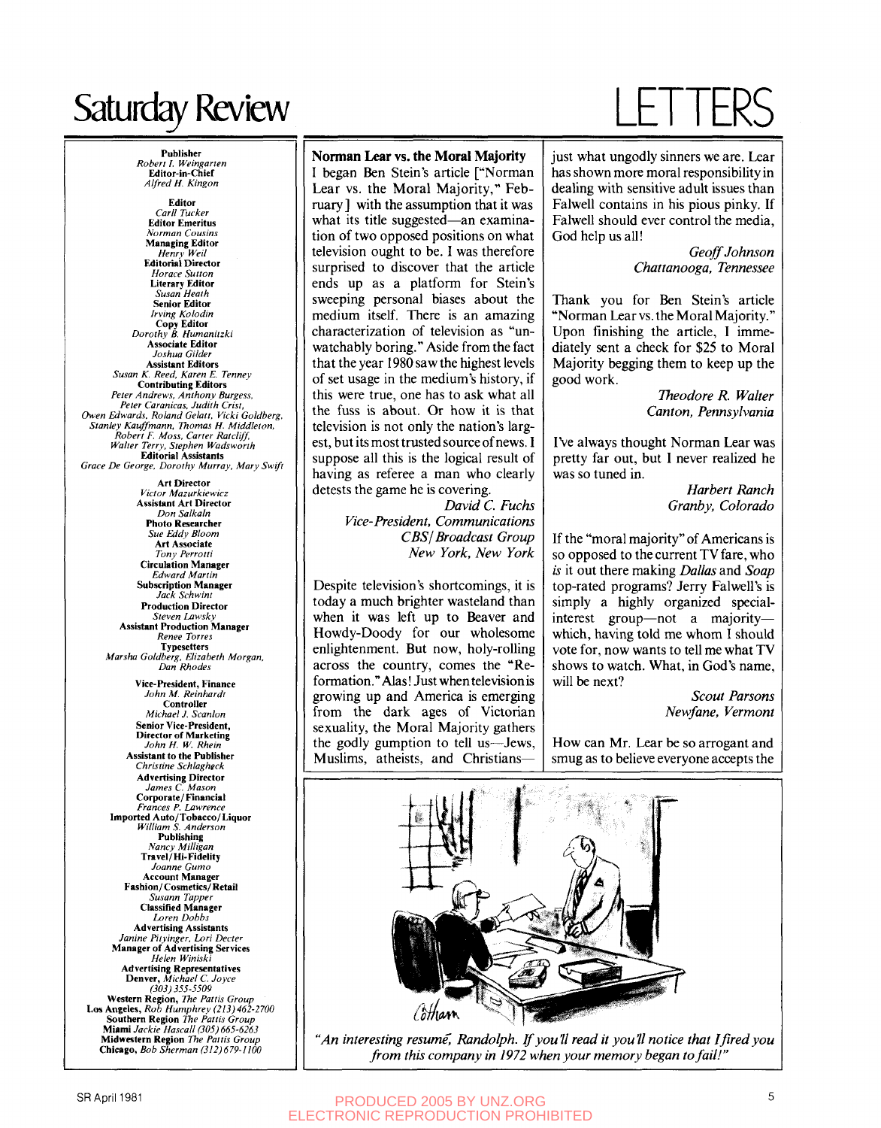## Saturday Review

**Publisher**  *Robert 1. Weingarteti*  **Editor-in-Chief**  *Alfred H. Kingon*  **Editor**  *Carli Tucker*  **Editor Emeritus**  *Norman Cousins*  **Managing Editor**  *Henry Weil*  **Editorial Director**  *Horace Sutton*  **Literary Editor**  *Susan Heath*  **Irving Kolodin** *Irving Kolodin*  **Copy Editor**  *Dorothy B. Humanitzki*  **Joshua** Gilde **Assistant Editors Susan K. Reed, Karen E. Tenney Contributing Editors** Peter Andrews, Anthony Burgess,<br>Peter Caranicas, Judith Crist,

*Owen Edwards, Roland Gelatt, Vicki Goldberg, Petron Caracter Committee Caracter Crist, Caracter Caracter Caracter Caracter Caracter Caracter Caracter Caracter Caracter Caracter Caracter Caracter Caracter Caracter Caracter Caracter Caracter Caracter Caracter Caracte Owen Edwards. Roland Gelatt, Vicki Goldberg, Stanley Kauffmann, Thomas H. Middleton, Robert F. Moss, Carter Ratcliff,*  Grace De George, Dorothy Murray, Mary Swift

**Editorial Assistants**  *Grace De George, Dorothy Murray, Mary Swift*  **Victor Mazurkiewicz Assistant Art Director**<br>*Don Salkaln* **Photo Researcher Sue Eddy Bloom Art Associate Tony Perrotti Circulation Manager** *Tony Perrotti*  **Subscription Manager** Jack Schwint **Production Director** *Jack Schwint*  **Assistant Production Manager** *Renee Torres*<br>Typesetters **Typesetters<br>Indee The Goldberg, Elizabeth Morg<br>Dan Rhodes** *Marsha Goldberg, Elizabeth Morgan,*  John M. Reinhardt **Controller** *Michael J. Scanlon* **Senior Vice-President, Director of Marketing** John H. W. Rheir **Assistant to the Publisher**<br>*Christine Schlagheck <u>Artistine Schugnieck</u>*<br>**Advertising Director** *James C. Mason*<br>**Corporate/Financial Frances P. Lawrence** *Imported Auto/Tobacco/Liquor William S. Anderson*<br>**Publishing** *Nancy Milligan*<br>Travel/Hi-Fidelity *Joanne Gumo*<br>**ccount Manage.** *Transition Commences*<br>*Susann Tapper*<br>Classified Manager Loren Dobb **Advertising Assistants Janine Pitvinger**, Lori Decter **Manager of Advertising Services** *Helen Winiski*<br> **Vertising Representativ** *Janinger, Michael C. Joyce*<br> *Janj 355-5509*<br> **Mestern Region,** *The Pattis Group***<br>
<b>ngeles,** *Rob Humphrey (213)* 462 **Southern Region The Pattis Group**<br>**Miami** Jackie Hascall (305) 665-6263 **Midwestern Region** The Pattis Group **Western Region,** *The Paltis Group*  **Los Angeles,** *Rob Humphrey (213) 462-2700* 

**Southern Region** *The Pattis Group* 

### **Norman Lear vs. the Moral Majority**

I began Ben Stein's article ["Norman Lear vs. the Moral Majority," February] with the assumption that it was what its title suggested—an examination of two opposed positions on what television ought to be. I was therefore surprised to discover that the article ends up as a platform for Stein's sweeping personal biases about the medium itself. There is an amazing characterization of television as "unwatchably boring." Aside from the fact that the year 1980 saw the highest levels of set usage in the medium's history, if this were true, one has to ask what all the fuss is about. Or how it is that television is not only the nation's largest, but its most trusted source of news. I suppose all this is the logical result of having as referee a man who clearly detests the game he is covering,

*David C. Fuchs Vice-President, Communications CBS I Broadcast Group New York, New York* 

Despite television's shortcomings, it is today a much brighter wasteland than when it was left up to Beaver and Howdy-Doody for our wholesome enlightenment. But now, holy-rolling across the country, comes the "Reformation." Alas! Just when television is growing up and America is emerging from the dark ages of Victorian sexuality, the Moral Majority gathers the godly gumption to tell us—Jews, Muslims, atheists, and Christians—

## LETTERS

just what ungodly sinners we are. Lear has shown more moral responsibility in dealing with sensitive adult issues than Falwell contains in his pious pinky. If Falwell should ever control the media, God help us all!

> *Geoff Johnson Chattanooga, Tennessee*

Thank you for Ben Stein's article "Norman Lear vs. the Moral Majority." Upon finishing the article, I immediately sent a check for \$25 to Moral Majority begging them to keep up the good work.

> *Theodore R. Walter Canton, Pennsylvania*

I've always thought Norman Lear was pretty far out, but I never realized he was so tuned in.

> *Harbert Ranch Granby, Colorado*

If the "moral majority" of Americans is so opposed to the current TV fare, who *is* it out there making *Dallas* and *Soap*  top-rated programs? Jerry Falwell's is simply a highly organized specialinterest group—not a majority which, having told me whom I should vote for, now wants to tell me what TV shows to watch. What, in God's name, will be next?

> *Scout Parsons Newfane, Vermont*

How can Mr. Lear be so arrogant and smug as to believe everyone accepts the



*"An interesting resume, Randolph. If you'll read it you'll notice that I fired you from this company in 1972 when your memory began to fail!"*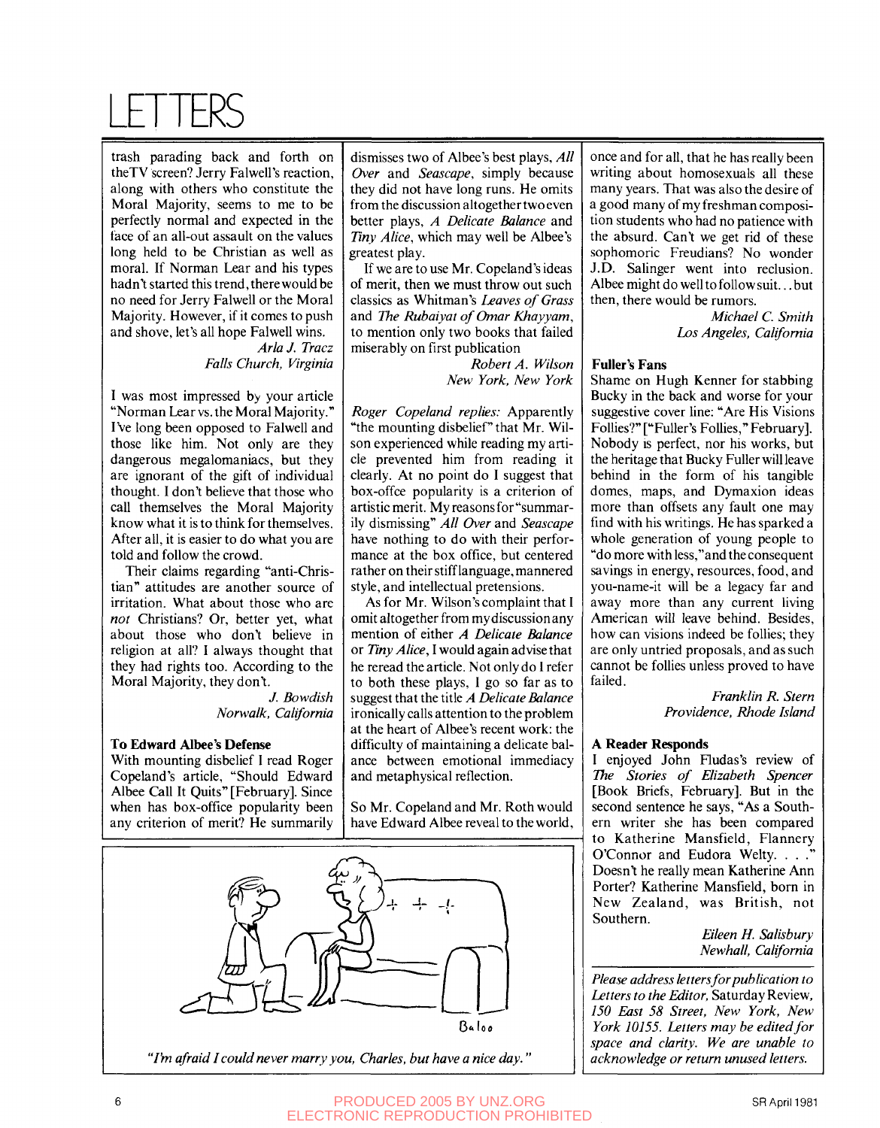## LETTERS

trash parading back and forth on the TV screen? Jerry Falwell's reaction, along with others who constitute the Moral Majority, seems to me to be perfectly normal and expected in the face of an all-out assault on the values long held to be Christian as well as moral. If Norman Lear and his types hadn't started this trend, there would be no need for Jerry Falwell or the Moral Majority. However, if it comes to push and shove, let's all hope Falwell wins.

*Aria J. Tracz Falls Church, Virginia* 

I was most impressed by your article "Norman Lear vs. the Moral Majority." I've long been opposed to Falwell and those like him. Not only are they dangerous megalomaniacs, but they are ignorant of the gift of individual thought. I don't believe that those who call themselves the Moral Majority know what it is to think for themselves. After all, it is easier to do what you are told and follow the crowd.

Their claims regarding "anti-Christian" attitudes are another source of irritation. What about those who are *not* Christians? Or, better yet, what about those who don't believe in religion at all? I always thought that they had rights too. According to the Moral Majority, they don't.

/. *Bow dish Norwalk, California* 

### **To Edward Albce's Defense**

With mounting disbelief I read Roger Copeland's article, "Should Edward Albee Call It Quits" [February]. Since when has box-office popularity been any criterion of merit? He summarily

dismisses two of Albee's best plays. *All Over* and *Seascape,* simply because they did not have long runs. He omits from the discussion altogether two even better plays, *A Delicate Balance* and *Tiny Alice,* which may well be Albee's greatest play.

If we are to use Mr. Copeland's ideas of merit, then we must throw out such classics as Whitman's *Leaves of Grass*  and *The Rubaiyat of Omar Khayyam,*  to mention only two books that failed miserably on first publication

> *Robert A. Wilson New York, New York*

*Roger Copeland replies:* Apparently "the mounting disbelief" that Mr. Wilson experienced while reading my article prevented him from reading it clearly. At no point do I suggest that box-offce popularity is a criterion of artistic merit. My reasons for "summarily dismissing" *All Over* and *Seascape*  have nothing to do with their performance at the box office, but centered rather on their stiff language, mannered style, and intellectual pretensions.

As for Mr. Wilson's complaint that I omit altogether from my discussion any mention of either *A Delicate Balance*  or *Ήny Alice,* I would again advise that he reread the article. Not only do I refer to both these plays, I go so far as to suggest that the title *A Delicate Balance*  ironically calls attention to the problem at the heart of Albee's recent work: the difficulty of maintaining a delicate balance between emotional immediacy and metaphysical reflection.

So Mr. Copeland and Mr. Roth would have Edward Albee reveal to the world.



*"I'm afraid I could never marry you, Charles, but have a nice day.'* 

once and for all, that he has really been writing about homosexuals all these many years. That was also the desire of a good many of my freshman composition students who had no patience with the absurd. Can't we get rid of these sophomoric Freudians? No wonder J.D. Salinger went into reclusion. Albee might do well to follow suit... but then, there would be rumors.

> *Michael C. Smith Los Angeles, California*

### **Fuller's Fans**

Shame on Hugh Kenner for stabbing Bucky in the back and worse for your suggestive cover line: "Are His Visions Follies?" ["Fuller's Follies," February]. Nobody is perfect, nor his works, but the heritage that Bucky Fuller will leave behind in the form of his tangible domes, maps, and Dymaxion ideas more than offsets any fault one may find with his writings. He has sparked a whole generation of young people to "do more with less,"and the consequent savings in energy, resources, food, and you-name-it will be a legacy far and away more than any current living American will leave behind. Besides, how can visions indeed be follies; they are only untried proposals, and as such cannot be follies unless proved to have failed.

> *Franklin R. Stern Providence, Rhode Island*

### *A* **Reader Responds**

**I** enjoyed John Fludas's review of *The Stories of Elizabeth Spencer*  [Book Briefs, February]. But in the second sentence he says, "As a Southern writer she has been compared to Katherine Mansfield, Flannery O'Connor and Eudora Welty. . . ." Doesn't he really mean Katherine Ann Porter? Katherine Mansfield, born in New Zealand, was British, not Southern.

> *Eileen H. Salisbury Newhall, California*

*Please address letters for publication to Letters to the Editor,* Saturday Review, *150 East 58 Street, New York, New York 10155. Letters may be edited for space and clarity. We are unable to acknowledge or return unused letters.*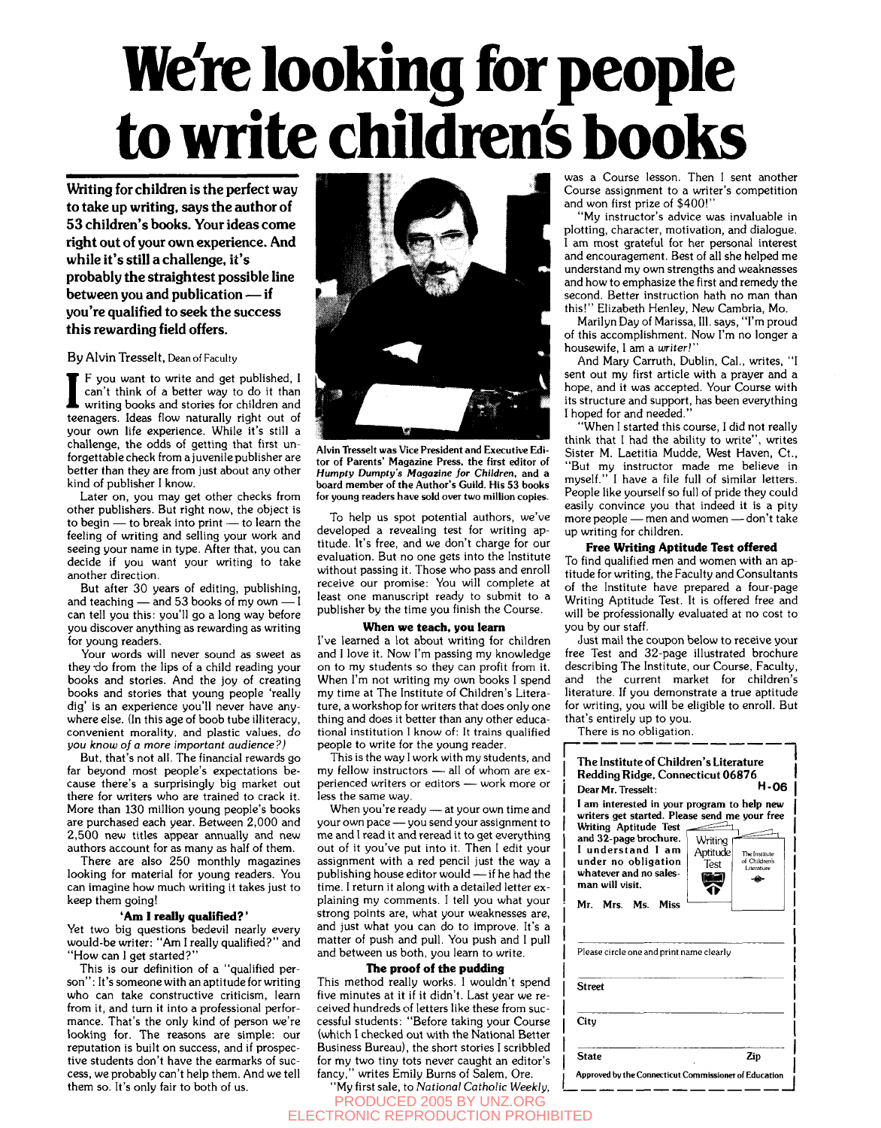# **We're looking for people to write children's books**

Writing for children is the perfect way to take up writing, says the author of 53 children's books. Your ideas come right out of your own experience. And while it's still a challenge, it's probably the straightest possible line between you and publication — if you're qualified to seek the success this rewarding field offers.

By Alvin Tresselt, Dean of Faculty

If you want to write and get published, I can't think of a better way to do it than writing books and stories for children and teenagers. Ideas flow naturally right out of F you want to write and get published, I can't think of a better way to do it than writing books and stories for children and your own life experience. While it's still a challenge, the odds of getting that first unforgettable check from a juvenile publisher are better than they are from just about any other kind of publisher I know.

Later on, you may get other checks from other publishers. But right now, the object is to begin — to break into print — to learn the feeling of writing and selling your work and seeing your name in type. After that, you can decide if you want your writing to take another direction.

But after 30 years of editing, publishing, and teaching — and 53 books of my own can tell you this: you'll go a long way before you discover anything as rewarding as writing for young readers.

Your words will never sound as sweet as they 'do from the lips of a child reading your books and stories. And the joy of creating books and stories that young people 'really dig' is an experience you'll never have anywhere else. (In this age of boob tube illiteracy, convenient morality, and plastic values, *do*  you *know of a more important audience ?)* 

But, that's not all. The financial rewards go far beyond most people's expectations because there's a surprisingly big market out there for writers who are trained to crack it. More than 130 million young people's books are purchased each year. Between 2,000 and 2,500 new titles appear annually and new authors account for as many as half of them.

There are also 250 monthly magazines looking for material for young readers. You can imagine how much writing it takes just to keep them going!

### **'Am I really qualified?**'

Yet two big questions bedevil nearly every would-be writer: "Am I really qualified?" and "How can I get started?"

This is our definition of a "qualified person": It's someone with an aptitude for writing who can take constructive criticism, learn from it, and turn it into a professional performance. That's the only kind of person we're looking for. The reasons are simple: our reputation is built on success, and if prospective students don't have the earmarks of success, we probably can't help them. And we tell them so. It's only fair to both of us.



Alvin Tresselt was Vice President and Executive Editor of Parents' Magazine Press, the first editor of *Humpty Dumpty's Magazine for Children,* and a board member of the Author's Guild. His 53 books for young readers have sold over two million copies.

To help us spot potential authors, we've developed a revealing test for writing aptitude. It's free, and we don't charge for our evaluation. But no one gets into the Institute without passing it. Those who pass and enroll receive our promise: You will complete at least one manuscript ready to submit to a publisher by the time you finish the Course.

#### **When we teach, you learn**

I've learned a lot about writing for children and I love it. Now I'm passing my knowledge on to my students so they can profit from it. When I'm not writing my own books I spend my time at The Institute of Children's Literature, a workshop for writers that does only one thing and does it better than any other educational institution I know of: It trains qualified people to write for the young reader.

This is the way I work with my students, and my fellow instructors — all of whom are experienced writers or editors — work more or less the same way.

When you're ready — at your own time and your own pace — you send your assignment to me and I read it and reread it to get everything out of it you've put into it. Then I edit your assignment with a red pencil just the way a publishing house editor would — if he had the time. I return it along with a detailed letter explaining my comments. I tell you what your strong points are, what your weaknesses are, and just what you can do to improve. It's a matter of push and pull. You push and I pull and between us both, you learn to write.

### **The proof of the pudding**

This method really works. I wouldn't spend five minutes at it if it didn't. Last year we received hundreds of letters like these from successful students: "Before taking your Course (which I checked out with the National Better Business Bureau), the short stories I scribbled for my two tiny tots never caught an editor's fancy," writes Emily Burns of Salem, Ore.

was a Course lesson. Then 1 sent another Course assignment to a writer's competition and won first prize of \$400!"

"My instructor's advice was invaluable in plotting, character, motivation, and dialogue. I am most grateful for her personal interest and encouragement. Best of all she helped me understand my own strengths and weaknesses and how to emphasize the first and remedy the second. Better instruction hath no man than this!" Elizabeth Henley, New Cambria, Mo.

Marilyn Day of Marissa, III. says, "I'm proud of this accomplishment. Now I'm no longer a housewife, I am a *writer]"* 

And Mary Carruth, Dublin, Cal., writes, "I sent out my first article with a prayer and a hope, and it was accepted. Your Course with its structure and support, has been everything I hoped for and needed."

"When I started this course, I did not really think that I had the ability to write", writes Sister M. Laetitia Mudde, West Haven, Ct., "But my instructor made me believe in myself." I have a file full of similar letters. People like yourself so full of pride they could easily convince you that indeed it is a pity more people — men and women — don't take up writing for children.

### **Free Writing Aptitude Test offered**

To find qualified men and women with an aptitude for writing, the Faculty and Consultants of the Institute have prepared a four-page Writing Aptitude Test. It is offered free and will be professionally evaluated at no cost to you by our staff.

Just mail the coupon below to receive your free Test and 32-page illustrated brochure describing The Institute, our Course, Faculty, and the current market for children's literature. If you demonstrate a true aptitude for writing, you will be eligible to enroll. But that's entirely up to you.

There is no obligation.

| opie to write for the young reader.<br>This is the way I work with my students, and<br>, fellow instructors — all of whom are ex-<br>rienced writers or eaitors — work more or<br>s the same way.<br>When you're ready — at your own time and<br>ur own pace — you send your assignment to<br>and I read it and reread it to get everything<br>t of it you've put into it. Then I edit your<br>signment with a red pencil just the way a<br>blishing house editor would --- if he had the<br>1e. I return it along with a detailed letter ex-<br>iining my comments. I tell you what your<br>ong points are, what your weaknesses are,<br>d just what you can do to improve. It's a<br>itter of push and pull. You push and I pull | The Institute of Children's Literature<br>Redding Ridge, Connecticut 06876<br>H-06<br>Dear Mr. Tresselt:<br>I am interested in your program to help new<br>writers get started. Please send me your free<br><b>Writing Aptitude Test</b><br>and 32-page brochure.<br>Writing<br>I understand I am<br>Aptitude<br>The Institute<br>under no obligation<br>of Children's<br>Test<br>Literature<br>whatever and no sales-<br>تق<br>-40-<br>man will visit.<br>Mr. Mrs. Ms. Miss |
|------------------------------------------------------------------------------------------------------------------------------------------------------------------------------------------------------------------------------------------------------------------------------------------------------------------------------------------------------------------------------------------------------------------------------------------------------------------------------------------------------------------------------------------------------------------------------------------------------------------------------------------------------------------------------------------------------------------------------------|------------------------------------------------------------------------------------------------------------------------------------------------------------------------------------------------------------------------------------------------------------------------------------------------------------------------------------------------------------------------------------------------------------------------------------------------------------------------------|
| d between us both, you learn to write.                                                                                                                                                                                                                                                                                                                                                                                                                                                                                                                                                                                                                                                                                             | Please circle one and print name clearly                                                                                                                                                                                                                                                                                                                                                                                                                                     |
| The proof of the pudding<br>is method really works. I wouldn't spend<br>e minutes at it if it didn't. Last year we re-<br>ved hundreds of letters like these from suc-                                                                                                                                                                                                                                                                                                                                                                                                                                                                                                                                                             | <b>Street</b>                                                                                                                                                                                                                                                                                                                                                                                                                                                                |
| sful students: ''Before taking your Course<br>hich I checked out with the National Better<br>siness Bureau), the short stories I scribbled                                                                                                                                                                                                                                                                                                                                                                                                                                                                                                                                                                                         | City                                                                                                                                                                                                                                                                                                                                                                                                                                                                         |
| my two tiny tots never caught an editor's<br>icy,'' writes Emily Burns of Salem, Ore.<br>"My first sale, to National Catholic Weekly,                                                                                                                                                                                                                                                                                                                                                                                                                                                                                                                                                                                              | <b>State</b><br>Zip<br>Approved by the Connecticut Commissioner of Education                                                                                                                                                                                                                                                                                                                                                                                                 |
| PRODUCED 2005 BY UNZ.ORG                                                                                                                                                                                                                                                                                                                                                                                                                                                                                                                                                                                                                                                                                                           |                                                                                                                                                                                                                                                                                                                                                                                                                                                                              |

ELECTRONIC REPRODUCTION PROHIBITED